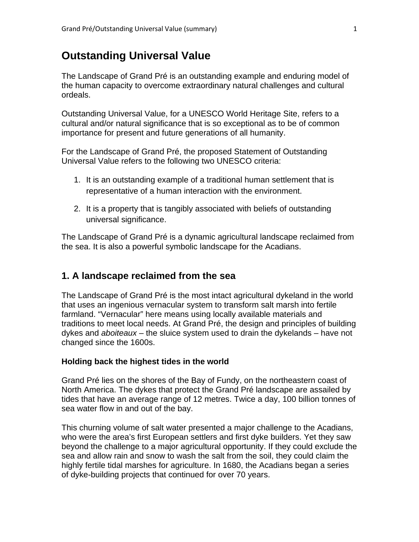# **Outstanding Universal Value**

The Landscape of Grand Pré is an outstanding example and enduring model of the human capacity to overcome extraordinary natural challenges and cultural ordeals.

Outstanding Universal Value, for a UNESCO World Heritage Site, refers to a cultural and/or natural significance that is so exceptional as to be of common importance for present and future generations of all humanity.

For the Landscape of Grand Pré, the proposed Statement of Outstanding Universal Value refers to the following two UNESCO criteria:

- 1. It is an outstanding example of a traditional human settlement that is representative of a human interaction with the environment.
- 2. It is a property that is tangibly associated with beliefs of outstanding universal significance.

The Landscape of Grand Pré is a dynamic agricultural landscape reclaimed from the sea. It is also a powerful symbolic landscape for the Acadians.

## **1. A landscape reclaimed from the sea**

The Landscape of Grand Pré is the most intact agricultural dykeland in the world that uses an ingenious vernacular system to transform salt marsh into fertile farmland. "Vernacular" here means using locally available materials and traditions to meet local needs. At Grand Pré, the design and principles of building dykes and *aboiteaux* – the sluice system used to drain the dykelands – have not changed since the 1600s.

### **Holding back the highest tides in the world**

Grand Pré lies on the shores of the Bay of Fundy, on the northeastern coast of North America. The dykes that protect the Grand Pré landscape are assailed by tides that have an average range of 12 metres. Twice a day, 100 billion tonnes of sea water flow in and out of the bay.

This churning volume of salt water presented a major challenge to the Acadians, who were the area's first European settlers and first dyke builders. Yet they saw beyond the challenge to a major agricultural opportunity. If they could exclude the sea and allow rain and snow to wash the salt from the soil, they could claim the highly fertile tidal marshes for agriculture. In 1680, the Acadians began a series of dyke-building projects that continued for over 70 years.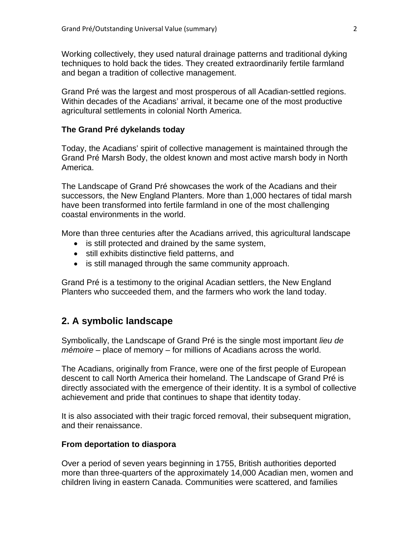Working collectively, they used natural drainage patterns and traditional dyking techniques to hold back the tides. They created extraordinarily fertile farmland and began a tradition of collective management.

Grand Pré was the largest and most prosperous of all Acadian-settled regions. Within decades of the Acadians' arrival, it became one of the most productive agricultural settlements in colonial North America.

### **The Grand Pré dykelands today**

Today, the Acadians' spirit of collective management is maintained through the Grand Pré Marsh Body, the oldest known and most active marsh body in North America.

The Landscape of Grand Pré showcases the work of the Acadians and their successors, the New England Planters. More than 1,000 hectares of tidal marsh have been transformed into fertile farmland in one of the most challenging coastal environments in the world.

More than three centuries after the Acadians arrived, this agricultural landscape

- is still protected and drained by the same system,
- still exhibits distinctive field patterns, and
- is still managed through the same community approach.

Grand Pré is a testimony to the original Acadian settlers, the New England Planters who succeeded them, and the farmers who work the land today.

### **2. A symbolic landscape**

Symbolically, the Landscape of Grand Pré is the single most important *lieu de mémoire* – place of memory – for millions of Acadians across the world.

The Acadians, originally from France, were one of the first people of European descent to call North America their homeland. The Landscape of Grand Pré is directly associated with the emergence of their identity. It is a symbol of collective achievement and pride that continues to shape that identity today.

It is also associated with their tragic forced removal, their subsequent migration, and their renaissance.

### **From deportation to diaspora**

Over a period of seven years beginning in 1755, British authorities deported more than three-quarters of the approximately 14,000 Acadian men, women and children living in eastern Canada. Communities were scattered, and families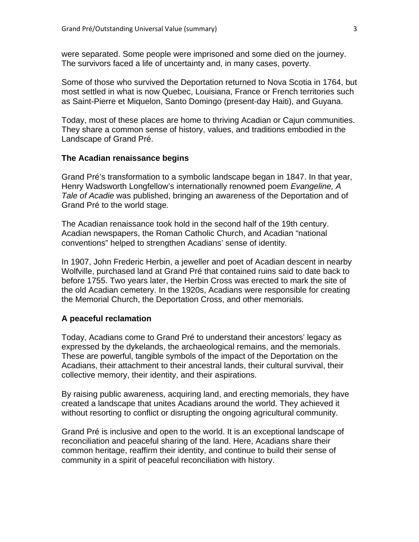were separated. Some people were imprisoned and some died on the journey. The survivors faced a life of uncertainty and, in many cases, poverty.

Some of those who survived the Deportation returned to Nova Scotia in 1764, but most settled in what is now Quebec, Louisiana, France or French territories such as Saint-Pierre et Miquelon, Santo Domingo (present-day Haiti), and Guyana.

Today, most of these places are home to thriving Acadian or Cajun communities. They share a common sense of history, values, and traditions embodied in the Landscape of Grand Pré.

### **The Acadian renaissance begins**

Grand Pré's transformation to a symbolic landscape began in 1847. In that year, Henry Wadsworth Longfellow's internationally renowned poem *Evangeline, A Tale of Acadie* was published, bringing an awareness of the Deportation and of Grand Pré to the world stage*.*

The Acadian renaissance took hold in the second half of the 19th century. Acadian newspapers, the Roman Catholic Church, and Acadian "national conventions" helped to strengthen Acadians' sense of identity.

In 1907, John Frederic Herbin, a jeweller and poet of Acadian descent in nearby Wolfville, purchased land at Grand Pré that contained ruins said to date back to before 1755. Two years later, the Herbin Cross was erected to mark the site of the old Acadian cemetery. In the 1920s, Acadians were responsible for creating the Memorial Church, the Deportation Cross, and other memorials.

#### **A peaceful reclamation**

Today, Acadians come to Grand Pré to understand their ancestors' legacy as expressed by the dykelands, the archaeological remains, and the memorials. These are powerful, tangible symbols of the impact of the Deportation on the Acadians, their attachment to their ancestral lands, their cultural survival, their collective memory, their identity, and their aspirations.

By raising public awareness, acquiring land, and erecting memorials, they have created a landscape that unites Acadians around the world. They achieved it without resorting to conflict or disrupting the ongoing agricultural community.

Grand Pré is inclusive and open to the world. It is an exceptional landscape of reconciliation and peaceful sharing of the land. Here, Acadians share their common heritage, reaffirm their identity, and continue to build their sense of community in a spirit of peaceful reconciliation with history.